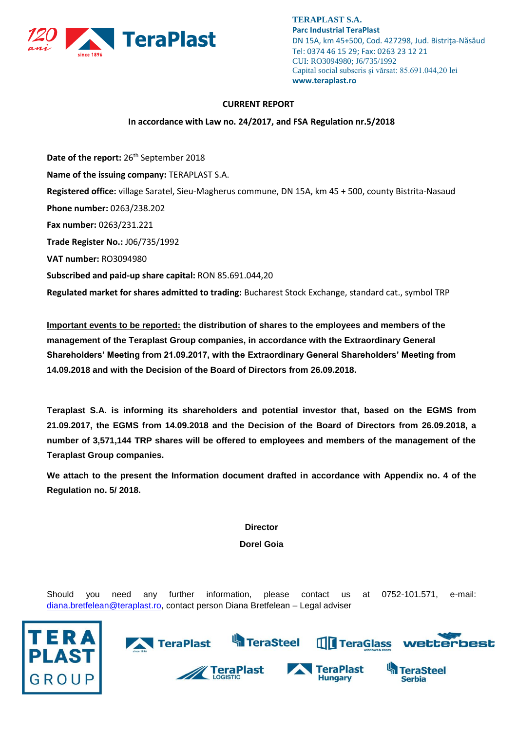

#### **CURRENT REPORT**

#### **In accordance with Law no. 24/2017, and FSA Regulation nr.5/2018**

**Date of the report:** 26<sup>th</sup> September 2018 **Name of the issuing company:** TERAPLAST S.A. **Registered office:** village Saratel, Sieu-Magherus commune, DN 15A, km 45 + 500, county Bistrita-Nasaud **Phone number:** 0263/238.202 **Fax number:** 0263/231.221 **Trade Register No.:** J06/735/1992 **VAT number:** RO3094980 **Subscribed and paid-up share capital:** RON 85.691.044,20 **Regulated market for shares admitted to trading:** Bucharest Stock Exchange, standard cat., symbol TRP

**Important events to be reported: the distribution of shares to the employees and members of the management of the Teraplast Group companies, in accordance with the Extraordinary General Shareholders' Meeting from 21.09.2017, with the Extraordinary General Shareholders' Meeting from 14.09.2018 and with the Decision of the Board of Directors from 26.09.2018.**

**Teraplast S.A. is informing its shareholders and potential investor that, based on the EGMS from 21.09.2017, the EGMS from 14.09.2018 and the Decision of the Board of Directors from 26.09.2018, a number of 3,571,144 TRP shares will be offered to employees and members of the management of the Teraplast Group companies.**

**We attach to the present the Information document drafted in accordance with Appendix no. 4 of the Regulation no. 5/ 2018.**

**Director**

**Dorel Goia**

Should you need any further information, please contact us at 0752-101.571, e-mail: [diana.bretfelean@teraplast.ro,](mailto:diana.bretfelean@teraplast.ro) contact person Diana Bretfelean – Legal adviser



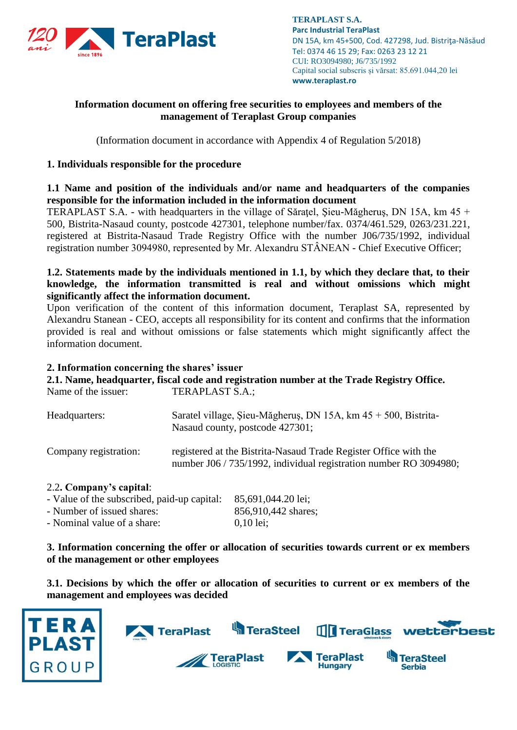

# **Information document on offering free securities to employees and members of the management of Teraplast Group companies**

(Information document in accordance with Appendix 4 of Regulation 5/2018)

## **1. Individuals responsible for the procedure**

**1.1 Name and position of the individuals and/or name and headquarters of the companies responsible for the information included in the information document**

TERAPLAST S.A. - with headquarters in the village of Săraţel, Şieu-Măgheruş, DN 15A, km 45 + 500, Bistrita-Nasaud county, postcode 427301, telephone number/fax. 0374/461.529, 0263/231.221, registered at Bistrita-Nasaud Trade Registry Office with the number J06/735/1992, individual registration number 3094980, represented by Mr. Alexandru STÂNEAN - Chief Executive Officer;

## **1.2. Statements made by the individuals mentioned in 1.1, by which they declare that, to their knowledge, the information transmitted is real and without omissions which might significantly affect the information document.**

Upon verification of the content of this information document, Teraplast SA, represented by Alexandru Stanean - CEO, accepts all responsibility for its content and confirms that the information provided is real and without omissions or false statements which might significantly affect the information document.

### **2. Information concerning the shares' issuer**

**2.1. Name, headquarter, fiscal code and registration number at the Trade Registry Office.** Name of the issuer: TERAPLAST S.A.:

| Headquarters:         | Saratel village, Sieu-Măgheruș, DN 15A, km $45 + 500$ , Bistrita-<br>Nasaud county, postcode 427301;                                  |
|-----------------------|---------------------------------------------------------------------------------------------------------------------------------------|
| Company registration: | registered at the Bistrita-Nasaud Trade Register Office with the<br>number J06 / 735/1992, individual registration number RO 3094980; |

### 2.2**. Company's capital**:

| - Value of the subscribed, paid-up capital: | 85,691,044.20 lei;  |
|---------------------------------------------|---------------------|
| - Number of issued shares:                  | 856,910,442 shares; |
| - Nominal value of a share:                 | $0.10$ lei:         |

**3. Information concerning the offer or allocation of securities towards current or ex members of the management or other employees**

**3.1. Decisions by which the offer or allocation of securities to current or ex members of the management and employees was decided**

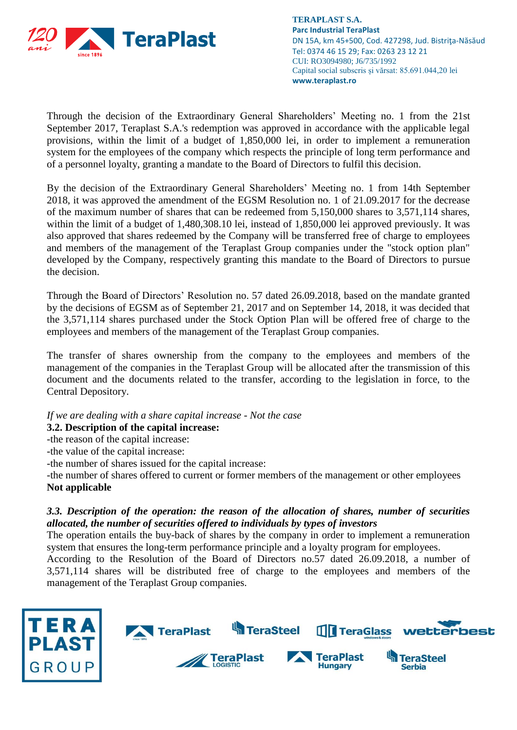

Through the decision of the Extraordinary General Shareholders' Meeting no. 1 from the 21st September 2017, Teraplast S.A.'s redemption was approved in accordance with the applicable legal provisions, within the limit of a budget of 1,850,000 lei, in order to implement a remuneration system for the employees of the company which respects the principle of long term performance and of a personnel loyalty, granting a mandate to the Board of Directors to fulfil this decision.

By the decision of the Extraordinary General Shareholders' Meeting no. 1 from 14th September 2018, it was approved the amendment of the EGSM Resolution no. 1 of 21.09.2017 for the decrease of the maximum number of shares that can be redeemed from 5,150,000 shares to 3,571,114 shares, within the limit of a budget of 1,480,308.10 lei, instead of 1,850,000 lei approved previously. It was also approved that shares redeemed by the Company will be transferred free of charge to employees and members of the management of the Teraplast Group companies under the "stock option plan" developed by the Company, respectively granting this mandate to the Board of Directors to pursue the decision.

Through the Board of Directors' Resolution no. 57 dated 26.09.2018, based on the mandate granted by the decisions of EGSM as of September 21, 2017 and on September 14, 2018, it was decided that the 3,571,114 shares purchased under the Stock Option Plan will be offered free of charge to the employees and members of the management of the Teraplast Group companies.

The transfer of shares ownership from the company to the employees and members of the management of the companies in the Teraplast Group will be allocated after the transmission of this document and the documents related to the transfer, according to the legislation in force, to the Central Depository.

*If we are dealing with a share capital increase - Not the case*

**3.2. Description of the capital increase:**

-the reason of the capital increase:

-the value of the capital increase:

-the number of shares issued for the capital increase:

-the number of shares offered to current or former members of the management or other employees **Not applicable** 

# *3.3. Description of the operation: the reason of the allocation of shares, number of securities allocated, the number of securities offered to individuals by types of investors*

The operation entails the buy-back of shares by the company in order to implement a remuneration system that ensures the long-term performance principle and a loyalty program for employees.

According to the Resolution of the Board of Directors no.57 dated 26.09.2018, a number of 3,571,114 shares will be distributed free of charge to the employees and members of the management of the Teraplast Group companies.